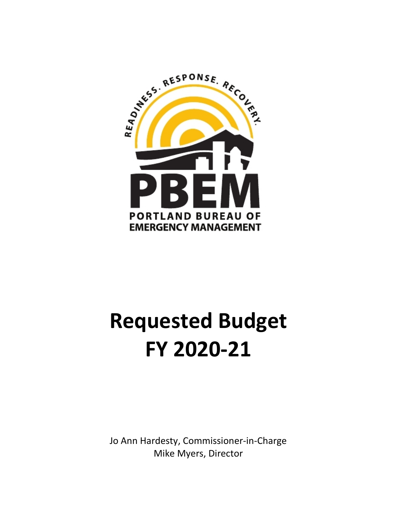

# **Requested Budget FY 2020-21**

Jo Ann Hardesty, Commissioner-in-Charge Mike Myers, Director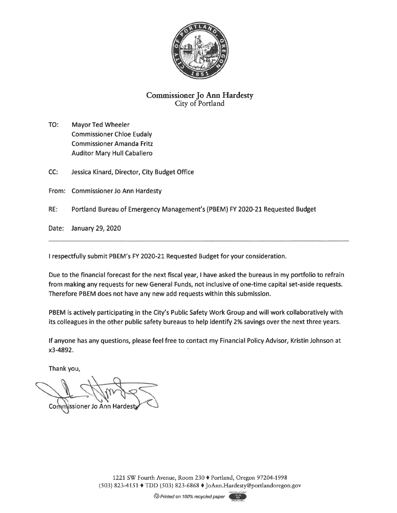

#### **Commissioner Jo Ann Hardesty** City of Portland

TO: Mayor Ted Wheeler **Commissioner Chloe Eudaly Commissioner Amanda Fritz Auditor Mary Hull Caballero** 

 $CC:$ Jessica Kinard, Director, City Budget Office

From: Commissioner Jo Ann Hardesty

RE: Portland Bureau of Emergency Management's (PBEM) FY 2020-21 Requested Budget

Date: January 29, 2020

I respectfully submit PBEM's FY 2020-21 Requested Budget for your consideration.

Due to the financial forecast for the next fiscal year, I have asked the bureaus in my portfolio to refrain from making any requests for new General Funds, not inclusive of one-time capital set-aside requests. Therefore PBEM does not have any new add requests within this submission.

PBEM is actively participating in the City's Public Safety Work Group and will work collaboratively with its colleagues in the other public safety bureaus to help identify 2% savings over the next three years.

If anyone has any questions, please feel free to contact my Financial Policy Advisor, Kristin Johnson at x3-4892.

Thank you,

**issioner Jo Ann Hardest** Comm

1221 SW Fourth Avenue, Room 230 OPortland, Oregon 97204-1998 (503) 823-4151 ♦ TDD (503) 823-6868 ♦ JoAnn.Hardesty@portlandoregon.gov

 $\frac{D(1, A1)}{105}$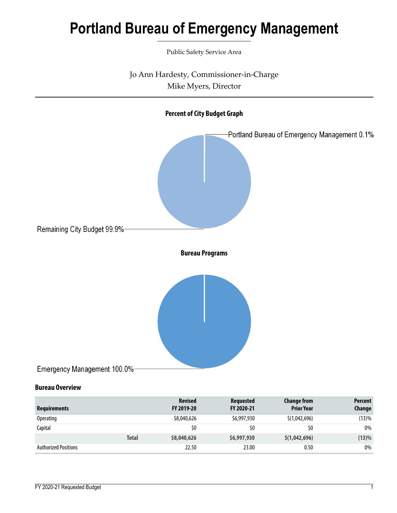# **Portland Bureau of Emergency Management**

Public Safety Service Area

Jo Ann Hardesty, Commissioner-in-Charge Mike Myers, Director



#### **Bureau Overview**

| Requirements                |              | <b>Revised</b><br>FY 2019-20 | Requested<br>FY 2020-21 | <b>Change from</b><br><b>Prior Year</b> | <b>Percent</b><br>Change |
|-----------------------------|--------------|------------------------------|-------------------------|-----------------------------------------|--------------------------|
| <b>Operating</b>            |              | \$8,040,626                  | \$6,997,930             | \$(1,042,696)                           | (13)%                    |
| Capital                     |              | \$0                          | \$0                     | \$0                                     | 0%                       |
|                             | <b>Total</b> | \$8,040,626                  | \$6,997,930             | \$(1,042,696)                           | (13)%                    |
| <b>Authorized Positions</b> |              | 22.50                        | 23.00                   | 0.50                                    | 0%                       |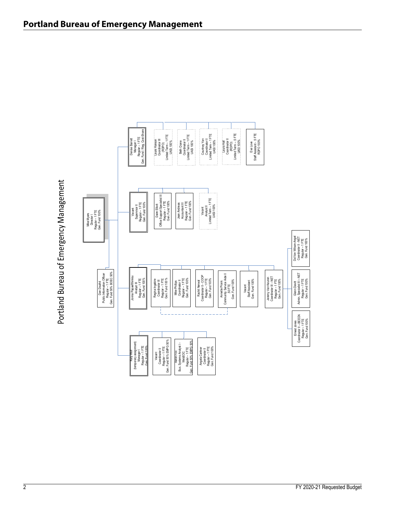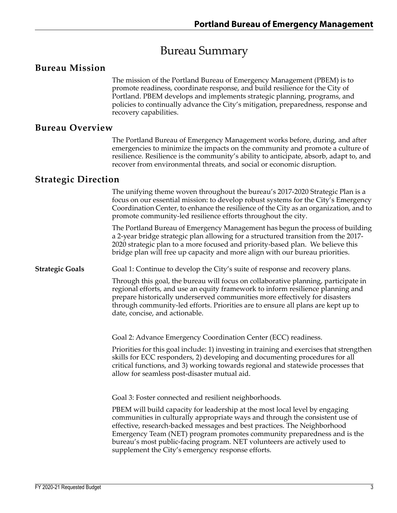# Bureau Summary

#### **Bureau Mission**

The mission of the Portland Bureau of Emergency Management (PBEM) is to promote readiness, coordinate response, and build resilience for the City of Portland. PBEM develops and implements strategic planning, programs, and policies to continually advance the City's mitigation, preparedness, response and recovery capabilities.

#### **Bureau Overview**

The Portland Bureau of Emergency Management works before, during, and after emergencies to minimize the impacts on the community and promote a culture of resilience. Resilience is the community's ability to anticipate, absorb, adapt to, and recover from environmental threats, and social or economic disruption.

## **Strategic Direction**

The unifying theme woven throughout the bureau's 2017-2020 Strategic Plan is a focus on our essential mission: to develop robust systems for the City's Emergency Coordination Center, to enhance the resilience of the City as an organization, and to promote community-led resilience efforts throughout the city.

The Portland Bureau of Emergency Management has begun the process of building a 2-year bridge strategic plan allowing for a structured transition from the 2017- 2020 strategic plan to a more focused and priority-based plan. We believe this bridge plan will free up capacity and more align with our bureau priorities.

**Strategic Goals** Goal 1: Continue to develop the City's suite of response and recovery plans.

Through this goal, the bureau will focus on collaborative planning, participate in regional efforts, and use an equity framework to inform resilience planning and prepare historically underserved communities more effectively for disasters through community-led efforts. Priorities are to ensure all plans are kept up to date, concise, and actionable.

Goal 2: Advance Emergency Coordination Center (ECC) readiness.

Priorities for this goal include: 1) investing in training and exercises that strengthen skills for ECC responders, 2) developing and documenting procedures for all critical functions, and 3) working towards regional and statewide processes that allow for seamless post-disaster mutual aid.

Goal 3: Foster connected and resilient neighborhoods.

PBEM will build capacity for leadership at the most local level by engaging communities in culturally appropriate ways and through the consistent use of effective, research-backed messages and best practices. The Neighborhood Emergency Team (NET) program promotes community preparedness and is the bureau's most public-facing program. NET volunteers are actively used to supplement the City's emergency response efforts.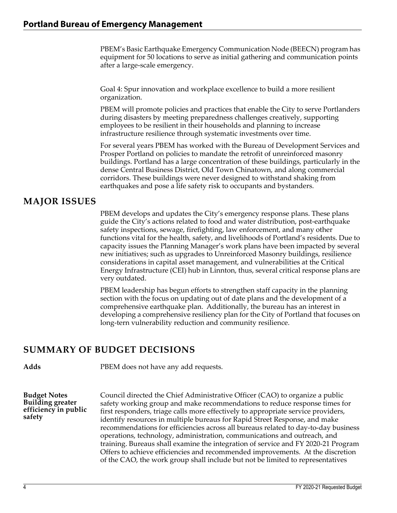PBEM's Basic Earthquake Emergency Communication Node (BEECN) program has equipment for 50 locations to serve as initial gathering and communication points after a large-scale emergency.

Goal 4: Spur innovation and workplace excellence to build a more resilient organization.

PBEM will promote policies and practices that enable the City to serve Portlanders during disasters by meeting preparedness challenges creatively, supporting employees to be resilient in their households and planning to increase infrastructure resilience through systematic investments over time.

For several years PBEM has worked with the Bureau of Development Services and Prosper Portland on policies to mandate the retrofit of unreinforced masonry buildings. Portland has a large concentration of these buildings, particularly in the dense Central Business District, Old Town Chinatown, and along commercial corridors. These buildings were never designed to withstand shaking from earthquakes and pose a life safety risk to occupants and bystanders.

## **MAJOR ISSUES**

PBEM develops and updates the City's emergency response plans. These plans guide the City's actions related to food and water distribution, post-earthquake safety inspections, sewage, firefighting, law enforcement, and many other functions vital for the health, safety, and livelihoods of Portland's residents. Due to capacity issues the Planning Manager's work plans have been impacted by several new initiatives; such as upgrades to Unreinforced Masonry buildings, resilience considerations in capital asset management, and vulnerabilities at the Critical Energy Infrastructure (CEI) hub in Linnton, thus, several critical response plans are very outdated.

PBEM leadership has begun efforts to strengthen staff capacity in the planning section with the focus on updating out of date plans and the development of a comprehensive earthquake plan. Additionally, the bureau has an interest in developing a comprehensive resiliency plan for the City of Portland that focuses on long-tern vulnerability reduction and community resilience.

# **SUMMARY OF BUDGET DECISIONS**

**Adds** PBEM does not have any add requests.

**Budget Notes Building greater efficiency in public safety**

Council directed the Chief Administrative Officer (CAO) to organize a public safety working group and make recommendations to reduce response times for first responders, triage calls more effectively to appropriate service providers, identify resources in multiple bureaus for Rapid Street Response, and make recommendations for efficiencies across all bureaus related to day-to-day business operations, technology, administration, communications and outreach, and training. Bureaus shall examine the integration of service and FY 2020-21 Program Offers to achieve efficiencies and recommended improvements. At the discretion of the CAO, the work group shall include but not be limited to representatives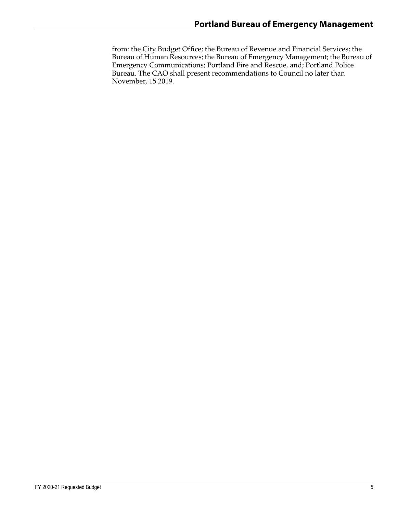from: the City Budget Office; the Bureau of Revenue and Financial Services; the Bureau of Human Resources; the Bureau of Emergency Management; the Bureau of Emergency Communications; Portland Fire and Rescue, and; Portland Police Bureau. The CAO shall present recommendations to Council no later than November, 15 2019.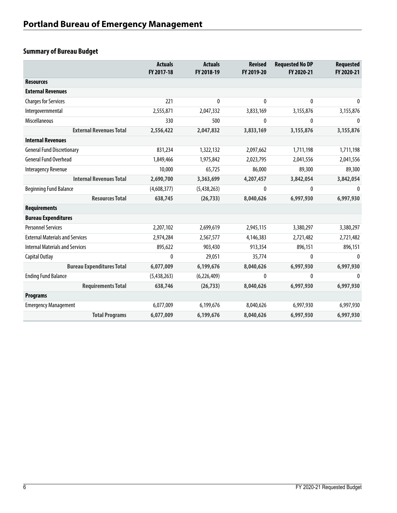# **Summary of Bureau Budget**

|                                        | <b>Actuals</b><br>FY 2017-18 | <b>Actuals</b><br>FY 2018-19 | <b>Revised</b><br>FY 2019-20 | <b>Requested No DP</b><br>FY 2020-21 | <b>Requested</b><br>FY 2020-21 |
|----------------------------------------|------------------------------|------------------------------|------------------------------|--------------------------------------|--------------------------------|
| <b>Resources</b>                       |                              |                              |                              |                                      |                                |
| <b>External Revenues</b>               |                              |                              |                              |                                      |                                |
| <b>Charges for Services</b>            | 221                          | 0                            | 0                            | 0                                    | 0                              |
| Intergovernmental                      | 2,555,871                    | 2,047,332                    | 3,833,169                    | 3,155,876                            | 3,155,876                      |
| <b>Miscellaneous</b>                   | 330                          | 500                          | 0                            | $\mathbf{0}$                         | 0                              |
| <b>External Revenues Total</b>         | 2,556,422                    | 2,047,832                    | 3,833,169                    | 3,155,876                            | 3,155,876                      |
| <b>Internal Revenues</b>               |                              |                              |                              |                                      |                                |
| <b>General Fund Discretionary</b>      | 831,234                      | 1,322,132                    | 2,097,662                    | 1,711,198                            | 1,711,198                      |
| <b>General Fund Overhead</b>           | 1,849,466                    | 1,975,842                    | 2,023,795                    | 2,041,556                            | 2,041,556                      |
| <b>Interagency Revenue</b>             | 10,000                       | 65,725                       | 86,000                       | 89,300                               | 89,300                         |
| <b>Internal Revenues Total</b>         | 2,690,700                    | 3,363,699                    | 4,207,457                    | 3,842,054                            | 3,842,054                      |
| <b>Beginning Fund Balance</b>          | (4,608,377)                  | (5,438,263)                  | $\mathbf{0}$                 | $\theta$                             | <sup>0</sup>                   |
| <b>Resources Total</b>                 | 638,745                      | (26, 733)                    | 8,040,626                    | 6,997,930                            | 6,997,930                      |
| <b>Requirements</b>                    |                              |                              |                              |                                      |                                |
| <b>Bureau Expenditures</b>             |                              |                              |                              |                                      |                                |
| <b>Personnel Services</b>              | 2,207,102                    | 2,699,619                    | 2,945,115                    | 3,380,297                            | 3,380,297                      |
| <b>External Materials and Services</b> | 2,974,284                    | 2,567,577                    | 4,146,383                    | 2,721,482                            | 2,721,482                      |
| <b>Internal Materials and Services</b> | 895,622                      | 903,430                      | 913,354                      | 896,151                              | 896,151                        |
| Capital Outlay                         | 0                            | 29,051                       | 35,774                       | $\theta$                             | $\mathbf{0}$                   |
| <b>Bureau Expenditures Total</b>       | 6,077,009                    | 6,199,676                    | 8,040,626                    | 6,997,930                            | 6,997,930                      |
| <b>Ending Fund Balance</b>             | (5,438,263)                  | (6, 226, 409)                | 0                            | $\mathbf{0}$                         | $\theta$                       |
| <b>Requirements Total</b>              | 638,746                      | (26, 733)                    | 8,040,626                    | 6,997,930                            | 6,997,930                      |
| <b>Programs</b>                        |                              |                              |                              |                                      |                                |
| <b>Emergency Management</b>            | 6,077,009                    | 6,199,676                    | 8,040,626                    | 6,997,930                            | 6,997,930                      |
| <b>Total Programs</b>                  | 6,077,009                    | 6,199,676                    | 8,040,626                    | 6,997,930                            | 6,997,930                      |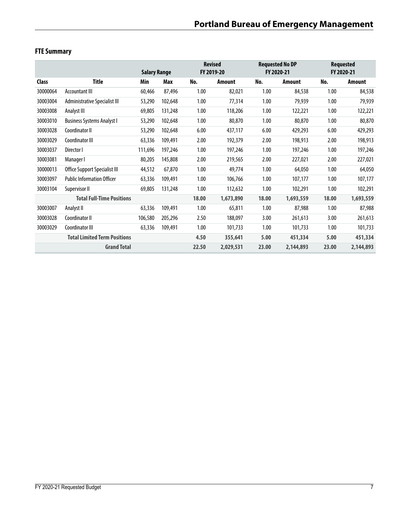# **FTE Summary**

|              |                                     | <b>Salary Range</b> |         |       | <b>Revised</b><br>FY 2019-20 |       | <b>Requested No DP</b><br>FY 2020-21 |       | <b>Requested</b><br>FY 2020-21 |
|--------------|-------------------------------------|---------------------|---------|-------|------------------------------|-------|--------------------------------------|-------|--------------------------------|
| <b>Class</b> | <b>Title</b>                        | Min                 | Max     | No.   | <b>Amount</b>                | No.   | <b>Amount</b>                        | No.   | <b>Amount</b>                  |
| 30000064     | <b>Accountant III</b>               | 60,466              | 87,496  | 1.00  | 82,021                       | 1.00  | 84,538                               | 1.00  | 84,538                         |
| 30003004     | Administrative Specialist III       | 53,290              | 102,648 | 1.00  | 77,314                       | 1.00  | 79,939                               | 1.00  | 79,939                         |
| 30003008     | Analyst III                         | 69,805              | 131,248 | 1.00  | 118,206                      | 1.00  | 122,221                              | 1.00  | 122,221                        |
| 30003010     | <b>Business Systems Analyst I</b>   | 53,290              | 102,648 | 1.00  | 80,870                       | 1.00  | 80,870                               | 1.00  | 80,870                         |
| 30003028     | Coordinator II                      | 53,290              | 102,648 | 6.00  | 437,117                      | 6.00  | 429,293                              | 6.00  | 429,293                        |
| 30003029     | Coordinator III                     | 63,336              | 109,491 | 2.00  | 192,379                      | 2.00  | 198,913                              | 2.00  | 198,913                        |
| 30003037     | Director I                          | 111,696             | 197,246 | 1.00  | 197,246                      | 1.00  | 197,246                              | 1.00  | 197,246                        |
| 30003081     | Manager I                           | 80,205              | 145,808 | 2.00  | 219,565                      | 2.00  | 227,021                              | 2.00  | 227,021                        |
| 30000013     | Office Support Specialist III       | 44,512              | 67,870  | 1.00  | 49,774                       | 1.00  | 64,050                               | 1.00  | 64,050                         |
| 30003097     | <b>Public Information Officer</b>   | 63,336              | 109,491 | 1.00  | 106,766                      | 1.00  | 107,177                              | 1.00  | 107,177                        |
| 30003104     | Supervisor II                       | 69,805              | 131,248 | 1.00  | 112,632                      | 1.00  | 102,291                              | 1.00  | 102,291                        |
|              | <b>Total Full-Time Positions</b>    |                     |         | 18.00 | 1,673,890                    | 18.00 | 1,693,559                            | 18.00 | 1,693,559                      |
| 30003007     | Analyst II                          | 63,336              | 109,491 | 1.00  | 65,811                       | 1.00  | 87,988                               | 1.00  | 87,988                         |
| 30003028     | Coordinator II                      | 106,580             | 205,296 | 2.50  | 188,097                      | 3.00  | 261,613                              | 3.00  | 261,613                        |
| 30003029     | Coordinator III                     | 63,336              | 109,491 | 1.00  | 101,733                      | 1.00  | 101,733                              | 1.00  | 101,733                        |
|              | <b>Total Limited Term Positions</b> |                     |         | 4.50  | 355,641                      | 5.00  | 451,334                              | 5.00  | 451,334                        |
|              | <b>Grand Total</b>                  |                     |         | 22.50 | 2,029,531                    | 23.00 | 2,144,893                            | 23.00 | 2,144,893                      |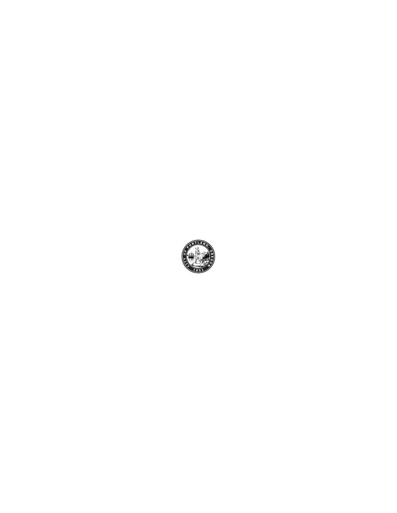![](_page_11_Picture_0.jpeg)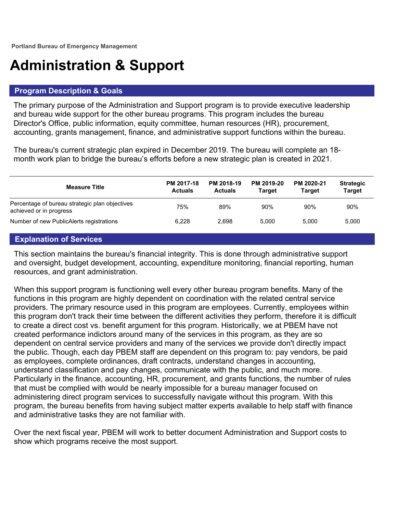# **Administration & Support**

#### **Program Description & Goals**

The primary purpose of the Administration and Support program is to provide executive leadership and bureau wide support for the other bureau programs. This program includes the bureau Director's Office, public information, equity committee, human resources (HR), procurement, accounting, grants management, finance, and administrative support functions within the bureau.

The bureau's current strategic plan expired in December 2019. The bureau will complete an 18 month work plan to bridge the bureau's efforts before a new strategic plan is created in 2021.

| <b>Measure Title</b>                                                      | PM 2017-18<br><b>Actuals</b> | PM 2018-19<br><b>Actuals</b> | PM 2019-20<br>Tarɑet | PM 2020-21<br>Tarɑet | <b>Strategic</b><br><b>Target</b> |
|---------------------------------------------------------------------------|------------------------------|------------------------------|----------------------|----------------------|-----------------------------------|
| Percentage of bureau strategic plan objectives<br>achieved or in progress | 75%                          | 89%                          | 90%                  | 90%                  | 90%                               |
| Number of new PublicAlerts registrations                                  | 6.228                        | 2.698                        | 5.000                | 5.000                | 5.000                             |

#### **Explanation of Services**

This section maintains the bureau's financial integrity. This is done through administrative support and oversight, budget development, accounting, expenditure monitoring, financial reporting, human resources, and grant administration.

When this support program is functioning well every other bureau program benefits. Many of the functions in this program are highly dependent on coordination with the related central service providers. The primary resource used in this program are employees. Currently, employees within this program don't track their time between the different activities they perform, therefore it is difficult to create a direct cost vs. benefit argument for this program. Historically, we at PBEM have not created performance indictors around many of the services in this program, as they are so dependent on central service providers and many of the services we provide don't directly impact the public. Though, each day PBEM staff are dependent on this program to: pay vendors, be paid as employees, complete ordinances, draft contracts, understand changes in accounting, understand classification and pay changes, communicate with the public, and much more. Particularly in the finance, accounting, HR, procurement, and grants functions, the number of rules that must be complied with would be nearly impossible for a bureau manager focused on administering direct program services to successfully navigate without this program. With this program, the bureau benefits from having subject matter experts available to help staff with finance and administrative tasks they are not familiar with.

Over the next fiscal year, PBEM will work to better document Administration and Support costs to show which programs receive the most support.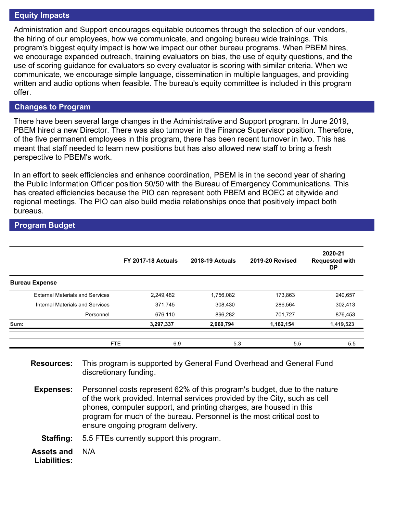#### **Equity Impacts**

Administration and Support encourages equitable outcomes through the selection of our vendors, the hiring of our employees, how we communicate, and ongoing bureau wide trainings. This program's biggest equity impact is how we impact our other bureau programs. When PBEM hires, we encourage expanded outreach, training evaluators on bias, the use of equity questions, and the use of scoring guidance for evaluators so every evaluator is scoring with similar criteria. When we communicate, we encourage simple language, dissemination in multiple languages, and providing written and audio options when feasible. The bureau's equity committee is included in this program offer.

#### **Changes to Program**

There have been several large changes in the Administrative and Support program. In June 2019, PBEM hired a new Director. There was also turnover in the Finance Supervisor position. Therefore, of the five permanent employees in this program, there has been recent turnover in two. This has meant that staff needed to learn new positions but has also allowed new staff to bring a fresh perspective to PBEM's work.

In an effort to seek efficiencies and enhance coordination, PBEM is in the second year of sharing the Public Information Officer position 50/50 with the Bureau of Emergency Communications. This has created efficiencies because the PIO can represent both PBEM and BOEC at citywide and regional meetings. The PIO can also build media relationships once that positively impact both bureaus.

#### **Program Budget**

|                                        | <b>FY 2017-18 Actuals</b> | <b>2018-19 Actuals</b> | <b>2019-20 Revised</b> | 2020-21<br><b>Requested with</b><br><b>DP</b> |
|----------------------------------------|---------------------------|------------------------|------------------------|-----------------------------------------------|
| <b>Bureau Expense</b>                  |                           |                        |                        |                                               |
| <b>External Materials and Services</b> | 2,249,482                 | 1,756,082              | 173,863                | 240,657                                       |
| Internal Materials and Services        | 371,745                   | 308,430                | 286,564                | 302,413                                       |
| Personnel                              | 676,110                   | 896.282                | 701,727                | 876,453                                       |
| Sum:                                   | 3,297,337                 | 2,960,794              | 1,162,154              | 1,419,523                                     |
|                                        | FTE<br>6.9                | 5.3                    | 5.5                    | 5.5                                           |

**Resources:** This program is supported by General Fund Overhead and General Fund discretionary funding.

**Expenses:** Personnel costs represent 62% of this program's budget, due to the nature of the work provided. Internal services provided by the City, such as cell phones, computer support, and printing charges, are housed in this program for much of the bureau. Personnel is the most critical cost to ensure ongoing program delivery.

**Staffing:** 5.5 FTEs currently support this program.

**Assets and** N/A

**Liabilities:**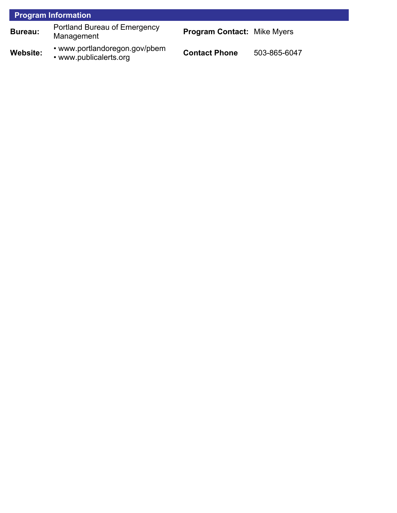| <b>Program Information</b> |                                                         |                                    |              |
|----------------------------|---------------------------------------------------------|------------------------------------|--------------|
| <b>Bureau:</b>             | Portland Bureau of Emergency<br>Management              | <b>Program Contact: Mike Myers</b> |              |
| Website:                   | • www.portlandoregon.gov/pbem<br>• www.publicalerts.org | <b>Contact Phone</b>               | 503-865-6047 |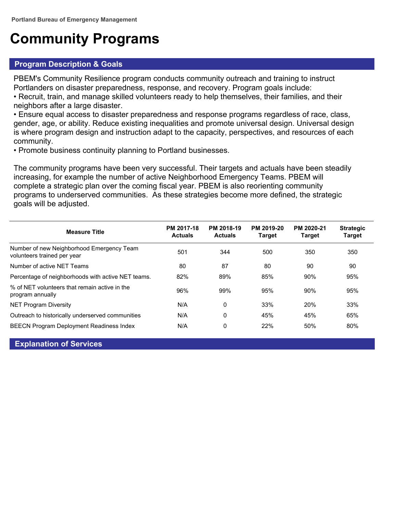# **Community Programs**

#### **Program Description & Goals**

PBEM's Community Resilience program conducts community outreach and training to instruct Portlanders on disaster preparedness, response, and recovery. Program goals include:

• Recruit, train, and manage skilled volunteers ready to help themselves, their families, and their neighbors after a large disaster.

• Ensure equal access to disaster preparedness and response programs regardless of race, class, gender, age, or ability. Reduce existing inequalities and promote universal design. Universal design is where program design and instruction adapt to the capacity, perspectives, and resources of each community.

• Promote business continuity planning to Portland businesses.

The community programs have been very successful. Their targets and actuals have been steadily increasing, for example the number of active Neighborhood Emergency Teams. PBEM will complete a strategic plan over the coming fiscal year. PBEM is also reorienting community programs to underserved communities. As these strategies become more defined, the strategic goals will be adjusted.

| <b>Measure Title</b>                                                     | PM 2017-18<br><b>Actuals</b> | PM 2018-19<br><b>Actuals</b> | PM 2019-20<br><b>Target</b> | PM 2020-21<br><b>Target</b> | <b>Strategic</b><br>Target |
|--------------------------------------------------------------------------|------------------------------|------------------------------|-----------------------------|-----------------------------|----------------------------|
| Number of new Neighborhood Emergency Team<br>volunteers trained per year | 501                          | 344                          | 500                         | 350                         | 350                        |
| Number of active NET Teams                                               | 80                           | 87                           | 80                          | 90                          | 90                         |
| Percentage of neighborhoods with active NET teams.                       | 82%                          | 89%                          | 85%                         | 90%                         | 95%                        |
| % of NFT volunteers that remain active in the<br>program annually        | 96%                          | 99%                          | 95%                         | 90%                         | 95%                        |
| <b>NET Program Diversity</b>                                             | N/A                          | 0                            | 33%                         | 20%                         | 33%                        |
| Outreach to historically underserved communities                         | N/A                          | 0                            | 45%                         | 45%                         | 65%                        |
| <b>BEECN Program Deployment Readiness Index</b>                          | N/A                          | 0                            | 22%                         | 50%                         | 80%                        |

**Explanation of Services**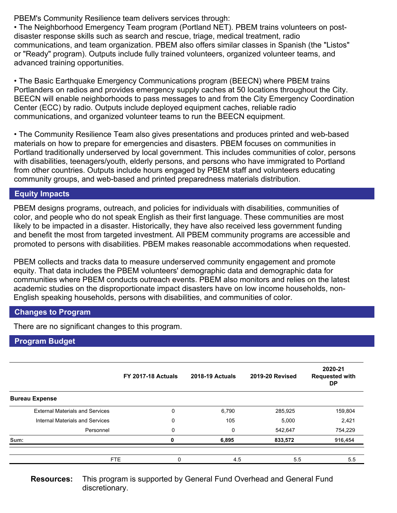PBEM's Community Resilience team delivers services through:

• The Neighborhood Emergency Team program (Portland NET). PBEM trains volunteers on postdisaster response skills such as search and rescue, triage, medical treatment, radio communications, and team organization. PBEM also offers similar classes in Spanish (the "Listos" or "Ready" program). Outputs include fully trained volunteers, organized volunteer teams, and advanced training opportunities.

• The Basic Earthquake Emergency Communications program (BEECN) where PBEM trains Portlanders on radios and provides emergency supply caches at 50 locations throughout the City. BEECN will enable neighborhoods to pass messages to and from the City Emergency Coordination Center (ECC) by radio. Outputs include deployed equipment caches, reliable radio communications, and organized volunteer teams to run the BEECN equipment.

• The Community Resilience Team also gives presentations and produces printed and web-based materials on how to prepare for emergencies and disasters. PBEM focuses on communities in Portland traditionally underserved by local government. This includes communities of color, persons with disabilities, teenagers/youth, elderly persons, and persons who have immigrated to Portland from other countries. Outputs include hours engaged by PBEM staff and volunteers educating community groups, and web-based and printed preparedness materials distribution.

#### **Equity Impacts**

PBEM designs programs, outreach, and policies for individuals with disabilities, communities of color, and people who do not speak English as their first language. These communities are most likely to be impacted in a disaster. Historically, they have also received less government funding and benefit the most from targeted investment. All PBEM community programs are accessible and promoted to persons with disabilities. PBEM makes reasonable accommodations when requested.

PBEM collects and tracks data to measure underserved community engagement and promote equity. That data includes the PBEM volunteers' demographic data and demographic data for communities where PBEM conducts outreach events. PBEM also monitors and relies on the latest academic studies on the disproportionate impact disasters have on low income households, non-English speaking households, persons with disabilities, and communities of color.

#### **Changes to Program**

There are no significant changes to this program.

#### **Program Budget**

|                                        | <b>FY 2017-18 Actuals</b> | <b>2018-19 Actuals</b> | <b>2019-20 Revised</b> | 2020-21<br><b>Requested with</b><br><b>DP</b> |
|----------------------------------------|---------------------------|------------------------|------------------------|-----------------------------------------------|
| <b>Bureau Expense</b>                  |                           |                        |                        |                                               |
| <b>External Materials and Services</b> | 0                         | 6,790                  | 285,925                | 159,804                                       |
| Internal Materials and Services        | 0                         | 105                    | 5,000                  | 2,421                                         |
| Personnel                              | 0                         | $\Omega$               | 542,647                | 754,229                                       |
| Sum:                                   | 0                         | 6,895                  | 833,572                | 916,454                                       |
|                                        | FTE<br>O                  | 4.5                    | 5.5                    | 5.5                                           |

**Resources:** This program is supported by General Fund Overhead and General Fund discretionary.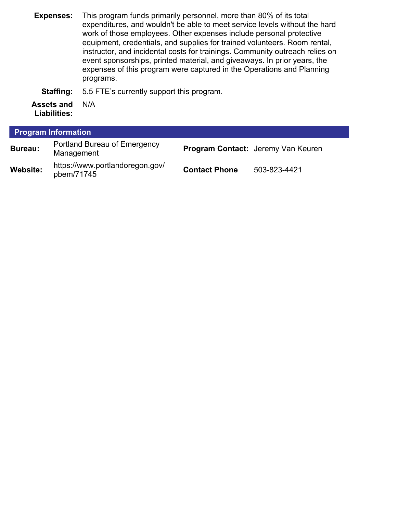- **Expenses:** This program funds primarily personnel, more than 80% of its total expenditures, and wouldn't be able to meet service levels without the hard work of those employees. Other expenses include personal protective equipment, credentials, and supplies for trained volunteers. Room rental, instructor, and incidental costs for trainings. Community outreach relies on event sponsorships, printed material, and giveaways. In prior years, the expenses of this program were captured in the Operations and Planning programs.
	- **Staffing:** 5.5 FTE's currently support this program.

**Assets and Liabilities:** N/A

|                 | <b>Program Information</b>                    |                      |                                           |
|-----------------|-----------------------------------------------|----------------------|-------------------------------------------|
| <b>Bureau:</b>  | Portland Bureau of Emergency<br>Management    |                      | <b>Program Contact:</b> Jeremy Van Keuren |
| <b>Website:</b> | https://www.portlandoregon.gov/<br>pbem/71745 | <b>Contact Phone</b> | 503-823-4421                              |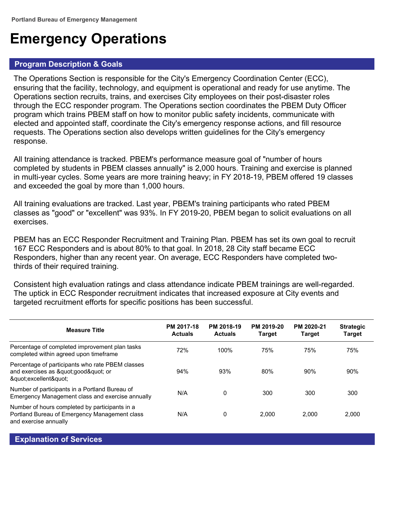# **Emergency Operations**

#### **Program Description & Goals**

The Operations Section is responsible for the City's Emergency Coordination Center (ECC), ensuring that the facility, technology, and equipment is operational and ready for use anytime. The Operations section recruits, trains, and exercises City employees on their post-disaster roles through the ECC responder program. The Operations section coordinates the PBEM Duty Officer program which trains PBEM staff on how to monitor public safety incidents, communicate with elected and appointed staff, coordinate the City's emergency response actions, and fill resource requests. The Operations section also develops written guidelines for the City's emergency response.

All training attendance is tracked. PBEM's performance measure goal of "number of hours completed by students in PBEM classes annually" is 2,000 hours. Training and exercise is planned in multi-year cycles. Some years are more training heavy; in FY 2018-19, PBEM offered 19 classes and exceeded the goal by more than 1,000 hours.

All training evaluations are tracked. Last year, PBEM's training participants who rated PBEM classes as "good" or "excellent" was 93%. In FY 2019-20, PBEM began to solicit evaluations on all exercises.

PBEM has an ECC Responder Recruitment and Training Plan. PBEM has set its own goal to recruit 167 ECC Responders and is about 80% to that goal. In 2018, 28 City staff became ECC Responders, higher than any recent year. On average, ECC Responders have completed twothirds of their required training.

Consistent high evaluation ratings and class attendance indicate PBEM trainings are well-regarded. The uptick in ECC Responder recruitment indicates that increased exposure at City events and targeted recruitment efforts for specific positions has been successful.

| <b>Measure Title</b>                                                                                                     | PM 2017-18<br><b>Actuals</b> | PM 2018-19<br><b>Actuals</b> | PM 2019-20<br>Target | PM 2020-21<br><b>Target</b> | <b>Strategic</b><br><b>Target</b> |
|--------------------------------------------------------------------------------------------------------------------------|------------------------------|------------------------------|----------------------|-----------------------------|-----------------------------------|
| Percentage of completed improvement plan tasks<br>completed within agreed upon timeframe                                 | 72%                          | 100%                         | 75%                  | 75%                         | 75%                               |
| Percentage of participants who rate PBEM classes<br>and exercises as " good" or<br>":excellent":                         | 94%                          | 93%                          | 80%                  | 90%                         | 90%                               |
| Number of participants in a Portland Bureau of<br>Emergency Management class and exercise annually                       | N/A                          | 0                            | 300                  | 300                         | 300                               |
| Number of hours completed by participants in a<br>Portland Bureau of Emergency Management class<br>and exercise annually | N/A                          | 0                            | 2.000                | 2.000                       | 2.000                             |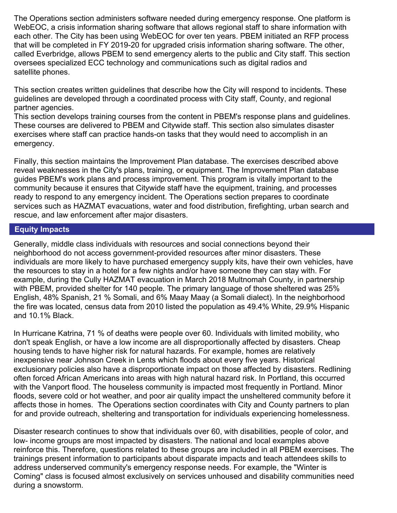The Operations section administers software needed during emergency response. One platform is WebEOC, a crisis information sharing software that allows regional staff to share information with each other. The City has been using WebEOC for over ten years. PBEM initiated an RFP process that will be completed in FY 2019-20 for upgraded crisis information sharing software. The other, called Everbridge, allows PBEM to send emergency alerts to the public and City staff. This section oversees specialized ECC technology and communications such as digital radios and satellite phones.

This section creates written guidelines that describe how the City will respond to incidents. These guidelines are developed through a coordinated process with City staff, County, and regional partner agencies.

This section develops training courses from the content in PBEM's response plans and guidelines. These courses are delivered to PBEM and Citywide staff. This section also simulates disaster exercises where staff can practice hands-on tasks that they would need to accomplish in an emergency.

Finally, this section maintains the Improvement Plan database. The exercises described above reveal weaknesses in the City's plans, training, or equipment. The Improvement Plan database guides PBEM's work plans and process improvement. This program is vitally important to the community because it ensures that Citywide staff have the equipment, training, and processes ready to respond to any emergency incident. The Operations section prepares to coordinate services such as HAZMAT evacuations, water and food distribution, firefighting, urban search and rescue, and law enforcement after major disasters.

#### **Equity Impacts**

Generally, middle class individuals with resources and social connections beyond their neighborhood do not access government-provided resources after minor disasters. These individuals are more likely to have purchased emergency supply kits, have their own vehicles, have the resources to stay in a hotel for a few nights and/or have someone they can stay with. For example, during the Cully HAZMAT evacuation in March 2018 Multnomah County, in partnership with PBEM, provided shelter for 140 people. The primary language of those sheltered was 25% English, 48% Spanish, 21 % Somali, and 6% Maay Maay (a Somali dialect). In the neighborhood the fire was located, census data from 2010 listed the population as 49.4% White, 29.9% Hispanic and 10.1% Black.

In Hurricane Katrina, 71 % of deaths were people over 60. Individuals with limited mobility, who don't speak English, or have a low income are all disproportionally affected by disasters. Cheap housing tends to have higher risk for natural hazards. For example, homes are relatively inexpensive near Johnson Creek in Lents which floods about every five years. Historical exclusionary policies also have a disproportionate impact on those affected by disasters. Redlining often forced African Americans into areas with high natural hazard risk. In Portland, this occurred with the Vanport flood. The houseless community is impacted most frequently in Portland. Minor floods, severe cold or hot weather, and poor air quality impact the unsheltered community before it affects those in homes. The Operations section coordinates with City and County partners to plan for and provide outreach, sheltering and transportation for individuals experiencing homelessness.

Disaster research continues to show that individuals over 60, with disabilities, people of color, and low- income groups are most impacted by disasters. The national and local examples above reinforce this. Therefore, questions related to these groups are included in all PBEM exercises. The trainings present information to participants about disparate impacts and teach attendees skills to address underserved community's emergency response needs. For example, the "Winter is Coming" class is focused almost exclusively on services unhoused and disability communities need during a snowstorm.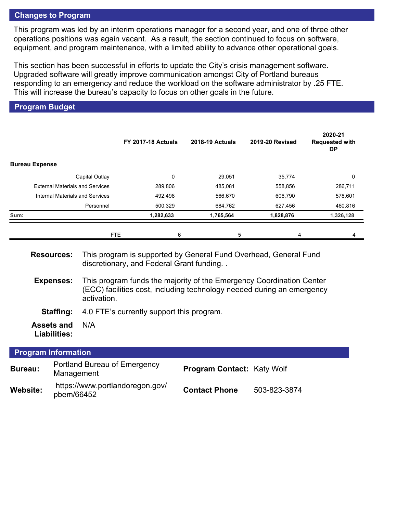#### **Changes to Program**

This program was led by an interim operations manager for a second year, and one of three other operations positions was again vacant. As a result, the section continued to focus on software, equipment, and program maintenance, with a limited ability to advance other operational goals.

This section has been successful in efforts to update the City's crisis management software. Upgraded software will greatly improve communication amongst City of Portland bureaus responding to an emergency and reduce the workload on the software administrator by .25 FTE. This will increase the bureau's capacity to focus on other goals in the future.

## **Program Budget**

|                                        | <b>FY 2017-18 Actuals</b> | <b>2018-19 Actuals</b> | <b>2019-20 Revised</b> | 2020-21<br><b>Requested with</b><br><b>DP</b> |
|----------------------------------------|---------------------------|------------------------|------------------------|-----------------------------------------------|
| <b>Bureau Expense</b>                  |                           |                        |                        |                                               |
| Capital Outlay                         | 0                         | 29,051                 | 35,774                 | 0                                             |
| <b>External Materials and Services</b> | 289,806                   | 485,081                | 558,856                | 286,711                                       |
| Internal Materials and Services        | 492,498                   | 566,670                | 606,790                | 578,601                                       |
| Personnel                              | 500,329                   | 684,762                | 627,456                | 460,816                                       |
| Sum:                                   | 1,282,633                 | 1,765,564              | 1,828,876              | 1,326,128                                     |
|                                        |                           |                        |                        |                                               |
| <b>FTE</b>                             | 6                         | 5                      | 4                      | 4                                             |

| <b>Resources:</b> | This program is supported by General Fund Overhead, General Fund |
|-------------------|------------------------------------------------------------------|
|                   | discretionary, and Federal Grant funding                         |

- **Expenses:** This program funds the majority of the Emergency Coordination Center (ECC) facilities cost, including technology needed during an emergency activation.
- **Staffing:** 4.0 FTE's currently support this program.
- **Assets and Liabilities:** N/A

| <b>Program Information</b> |                                               |                                   |              |
|----------------------------|-----------------------------------------------|-----------------------------------|--------------|
| <b>Bureau:</b>             | Portland Bureau of Emergency<br>Management    | <b>Program Contact: Katy Wolf</b> |              |
| Website:                   | https://www.portlandoregon.gov/<br>pbem/66452 | <b>Contact Phone</b>              | 503-823-3874 |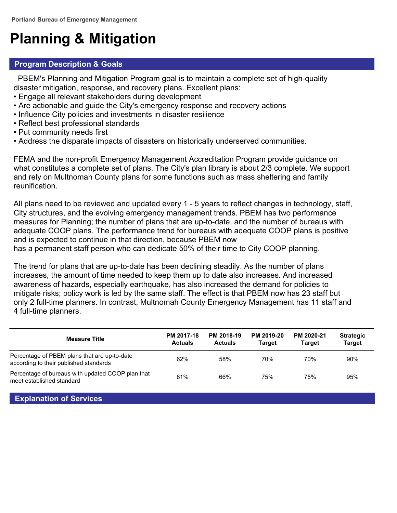# **Planning & Mitigation**

#### **Program Description & Goals**

 PBEM's Planning and Mitigation Program goal is to maintain a complete set of high-quality disaster mitigation, response, and recovery plans. Excellent plans:

- Engage all relevant stakeholders during development
- Are actionable and guide the City's emergency response and recovery actions
- Influence City policies and investments in disaster resilience
- Reflect best professional standards
- Put community needs first
- Address the disparate impacts of disasters on historically underserved communities.

FEMA and the non-profit Emergency Management Accreditation Program provide guidance on what constitutes a complete set of plans. The City's plan library is about 2/3 complete. We support and rely on Multnomah County plans for some functions such as mass sheltering and family reunification.

All plans need to be reviewed and updated every 1 - 5 years to reflect changes in technology, staff, City structures, and the evolving emergency management trends. PBEM has two performance measures for Planning; the number of plans that are up-to-date, and the number of bureaus with adequate COOP plans. The performance trend for bureaus with adequate COOP plans is positive and is expected to continue in that direction, because PBEM now has a permanent staff person who can dedicate 50% of their time to City COOP planning.

The trend for plans that are up-to-date has been declining steadily. As the number of plans increases, the amount of time needed to keep them up to date also increases. And increased awareness of hazards, especially earthquake, has also increased the demand for policies to mitigate risks; policy work is led by the same staff. The effect is that PBEM now has 23 staff but only 2 full-time planners. In contrast, Multnomah County Emergency Management has 11 staff and 4 full-time planners.

| <b>Measure Title</b>                                                                   | PM 2017-18<br><b>Actuals</b> | PM 2018-19<br><b>Actuals</b> | PM 2019-20<br>Target | PM 2020-21<br>Tarɑet | <b>Strategic</b><br><b>Target</b> |
|----------------------------------------------------------------------------------------|------------------------------|------------------------------|----------------------|----------------------|-----------------------------------|
| Percentage of PBEM plans that are up-to-date<br>according to their published standards | 62%                          | 58%                          | 70%                  | 70%                  | 90%                               |
| Percentage of bureaus with updated COOP plan that<br>meet established standard         | 81%                          | 66%                          | 75%                  | 75%                  | 95%                               |

**Explanation of Services**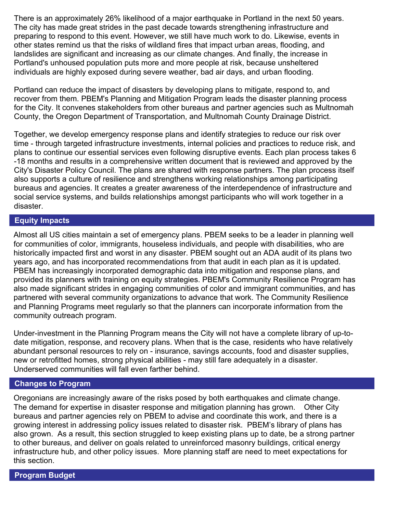There is an approximately 26% likelihood of a major earthquake in Portland in the next 50 years. The city has made great strides in the past decade towards strengthening infrastructure and preparing to respond to this event. However, we still have much work to do. Likewise, events in other states remind us that the risks of wildland fires that impact urban areas, flooding, and landslides are significant and increasing as our climate changes. And finally, the increase in Portland's unhoused population puts more and more people at risk, because unsheltered individuals are highly exposed during severe weather, bad air days, and urban flooding.

Portland can reduce the impact of disasters by developing plans to mitigate, respond to, and recover from them. PBEM's Planning and Mitigation Program leads the disaster planning process for the City. It convenes stakeholders from other bureaus and partner agencies such as Multnomah County, the Oregon Department of Transportation, and Multnomah County Drainage District.

Together, we develop emergency response plans and identify strategies to reduce our risk over time - through targeted infrastructure investments, internal policies and practices to reduce risk, and plans to continue our essential services even following disruptive events. Each plan process takes 6 -18 months and results in a comprehensive written document that is reviewed and approved by the City's Disaster Policy Council. The plans are shared with response partners. The plan process itself also supports a culture of resilience and strengthens working relationships among participating bureaus and agencies. It creates a greater awareness of the interdependence of infrastructure and social service systems, and builds relationships amongst participants who will work together in a disaster.

#### **Equity Impacts**

Almost all US cities maintain a set of emergency plans. PBEM seeks to be a leader in planning well for communities of color, immigrants, houseless individuals, and people with disabilities, who are historically impacted first and worst in any disaster. PBEM sought out an ADA audit of its plans two years ago, and has incorporated recommendations from that audit in each plan as it is updated. PBEM has increasingly incorporated demographic data into mitigation and response plans, and provided its planners with training on equity strategies. PBEM's Community Resilience Program has also made significant strides in engaging communities of color and immigrant communities, and has partnered with several community organizations to advance that work. The Community Resilience and Planning Programs meet regularly so that the planners can incorporate information from the community outreach program.

Under-investment in the Planning Program means the City will not have a complete library of up-todate mitigation, response, and recovery plans. When that is the case, residents who have relatively abundant personal resources to rely on - insurance, savings accounts, food and disaster supplies, new or retrofitted homes, strong physical abilities - may still fare adequately in a disaster. Underserved communities will fall even farther behind.

#### **Changes to Program**

Oregonians are increasingly aware of the risks posed by both earthquakes and climate change. The demand for expertise in disaster response and mitigation planning has grown. Other City bureaus and partner agencies rely on PBEM to advise and coordinate this work, and there is a growing interest in addressing policy issues related to disaster risk. PBEM's library of plans has also grown. As a result, this section struggled to keep existing plans up to date, be a strong partner to other bureaus, and deliver on goals related to unreinforced masonry buildings, critical energy infrastructure hub, and other policy issues. More planning staff are need to meet expectations for this section.

#### **Program Budget**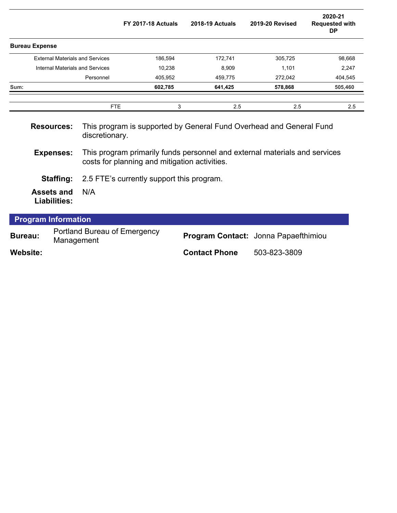|                                        |                                                                                                                             | <b>FY 2017-18 Actuals</b>                                           | <b>2018-19 Actuals</b> | <b>2019-20 Revised</b> | 2020-21<br><b>Requested with</b><br><b>DP</b> |
|----------------------------------------|-----------------------------------------------------------------------------------------------------------------------------|---------------------------------------------------------------------|------------------------|------------------------|-----------------------------------------------|
| <b>Bureau Expense</b>                  |                                                                                                                             |                                                                     |                        |                        |                                               |
| <b>External Materials and Services</b> |                                                                                                                             | 186,594                                                             | 172,741                | 305,725                | 98,668                                        |
| Internal Materials and Services        |                                                                                                                             | 10,238                                                              | 8,909                  | 1.101                  | 2,247                                         |
|                                        | Personnel                                                                                                                   | 405,952                                                             | 459,775                | 272,042                | 404,545                                       |
| Sum:                                   |                                                                                                                             | 602,785                                                             | 641,425                | 578,868                | 505,460                                       |
|                                        | <b>FTE</b>                                                                                                                  | 3                                                                   | 2.5                    | 2.5                    | 2.5                                           |
| <b>Resources:</b>                      | discretionary.                                                                                                              | This program is supported by General Fund Overhead and General Fund |                        |                        |                                               |
| <b>Expenses:</b>                       | This program primarily funds personnel and external materials and services<br>costs for planning and mitigation activities. |                                                                     |                        |                        |                                               |
| <b>Staffing:</b>                       |                                                                                                                             | 2.5 FTE's currently support this program.                           |                        |                        |                                               |
| Assets and<br>Liabilities:             | N/A                                                                                                                         |                                                                     |                        |                        |                                               |
| <b>Program Information</b>             |                                                                                                                             |                                                                     |                        |                        |                                               |

| <b>Bureau:</b> | Portland Bureau of Emergency<br>Management |                      | <b>Program Contact:</b> Jonna Papaefthimiou |
|----------------|--------------------------------------------|----------------------|---------------------------------------------|
| Website:       |                                            | <b>Contact Phone</b> | 503-823-3809                                |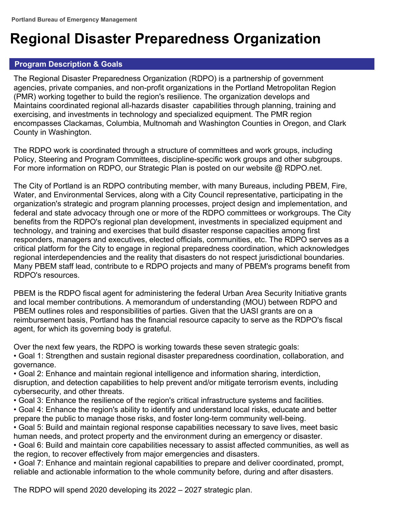# **Regional Disaster Preparedness Organization**

#### **Program Description & Goals**

The Regional Disaster Preparedness Organization (RDPO) is a partnership of government agencies, private companies, and non-profit organizations in the Portland Metropolitan Region (PMR) working together to build the region's resilience. The organization develops and Maintains coordinated regional all-hazards disaster capabilities through planning, training and exercising, and investments in technology and specialized equipment. The PMR region encompasses Clackamas, Columbia, Multnomah and Washington Counties in Oregon, and Clark County in Washington.

The RDPO work is coordinated through a structure of committees and work groups, including Policy, Steering and Program Committees, discipline-specific work groups and other subgroups. For more information on RDPO, our Strategic Plan is posted on our website @ RDPO.net.

The City of Portland is an RDPO contributing member, with many Bureaus, including PBEM, Fire, Water, and Environmental Services, along with a City Council representative, participating in the organization's strategic and program planning processes, project design and implementation, and federal and state advocacy through one or more of the RDPO committees or workgroups. The City benefits from the RDPO's regional plan development, investments in specialized equipment and technology, and training and exercises that build disaster response capacities among first responders, managers and executives, elected officials, communities, etc. The RDPO serves as a critical platform for the City to engage in regional preparedness coordination, which acknowledges regional interdependencies and the reality that disasters do not respect jurisdictional boundaries. Many PBEM staff lead, contribute to e RDPO projects and many of PBEM's programs benefit from RDPO's resources.

PBEM is the RDPO fiscal agent for administering the federal Urban Area Security Initiative grants and local member contributions. A memorandum of understanding (MOU) between RDPO and PBEM outlines roles and responsibilities of parties. Given that the UASI grants are on a reimbursement basis, Portland has the financial resource capacity to serve as the RDPO's fiscal agent, for which its governing body is grateful.

Over the next few years, the RDPO is working towards these seven strategic goals:

• Goal 1: Strengthen and sustain regional disaster preparedness coordination, collaboration, and governance.

• Goal 2: Enhance and maintain regional intelligence and information sharing, interdiction, disruption, and detection capabilities to help prevent and/or mitigate terrorism events, including cybersecurity, and other threats.

- Goal 3: Enhance the resilience of the region's critical infrastructure systems and facilities.
- Goal 4: Enhance the region's ability to identify and understand local risks, educate and better prepare the public to manage those risks, and foster long-term community well-being.
- Goal 5: Build and maintain regional response capabilities necessary to save lives, meet basic human needs, and protect property and the environment during an emergency or disaster.

• Goal 6: Build and maintain core capabilities necessary to assist affected communities, as well as the region, to recover effectively from major emergencies and disasters.

• Goal 7: Enhance and maintain regional capabilities to prepare and deliver coordinated, prompt, reliable and actionable information to the whole community before, during and after disasters.

The RDPO will spend 2020 developing its 2022 – 2027 strategic plan.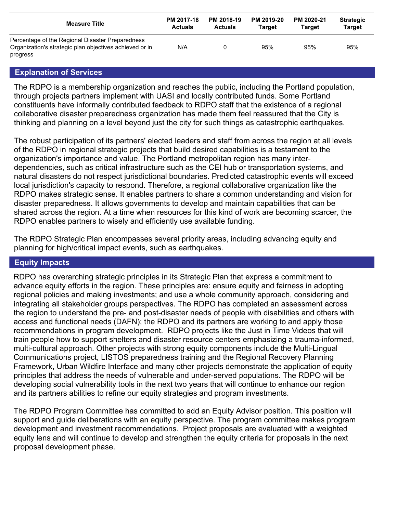| <b>Measure Title</b>                                                                                                    | PM 2017-18     | PM 2018-19     | PM 2019-20 | PM 2020-21 | <b>Strategic</b> |
|-------------------------------------------------------------------------------------------------------------------------|----------------|----------------|------------|------------|------------------|
|                                                                                                                         | <b>Actuals</b> | <b>Actuals</b> | Target     | Tarɑet     | <b>Target</b>    |
| Percentage of the Regional Disaster Preparedness<br>Organization's strategic plan objectives achieved or in<br>progress | N/A            |                | 95%        | 95%        | 95%              |

#### **Explanation of Services**

The RDPO is a membership organization and reaches the public, including the Portland population, through projects partners implement with UASI and locally contributed funds. Some Portland constituents have informally contributed feedback to RDPO staff that the existence of a regional collaborative disaster preparedness organization has made them feel reassured that the City is thinking and planning on a level beyond just the city for such things as catastrophic earthquakes.

The robust participation of its partners' elected leaders and staff from across the region at all levels of the RDPO in regional strategic projects that build desired capabilities is a testament to the organization's importance and value. The Portland metropolitan region has many interdependencies, such as critical infrastructure such as the CEI hub or transportation systems, and natural disasters do not respect jurisdictional boundaries. Predicted catastrophic events will exceed local jurisdiction's capacity to respond. Therefore, a regional collaborative organization like the RDPO makes strategic sense. It enables partners to share a common understanding and vision for disaster preparedness. It allows governments to develop and maintain capabilities that can be shared across the region. At a time when resources for this kind of work are becoming scarcer, the RDPO enables partners to wisely and efficiently use available funding.

The RDPO Strategic Plan encompasses several priority areas, including advancing equity and planning for high/critical impact events, such as earthquakes.

#### **Equity Impacts**

RDPO has overarching strategic principles in its Strategic Plan that express a commitment to advance equity efforts in the region. These principles are: ensure equity and fairness in adopting regional policies and making investments; and use a whole community approach, considering and integrating all stakeholder groups perspectives. The RDPO has completed an assessment across the region to understand the pre- and post-disaster needs of people with disabilities and others with access and functional needs (DAFN); the RDPO and its partners are working to and apply those recommendations in program development. RDPO projects like the Just in Time Videos that will train people how to support shelters and disaster resource centers emphasizing a trauma-informed, multi-cultural approach. Other projects with strong equity components include the Multi-Lingual Communications project, LISTOS preparedness training and the Regional Recovery Planning Framework, Urban Wildfire Interface and many other projects demonstrate the application of equity principles that address the needs of vulnerable and under-served populations. The RDPO will be developing social vulnerability tools in the next two years that will continue to enhance our region and its partners abilities to refine our equity strategies and program investments.

The RDPO Program Committee has committed to add an Equity Advisor position. This position will support and guide deliberations with an equity perspective. The program committee makes program development and investment recommendations. Project proposals are evaluated with a weighted equity lens and will continue to develop and strengthen the equity criteria for proposals in the next proposal development phase.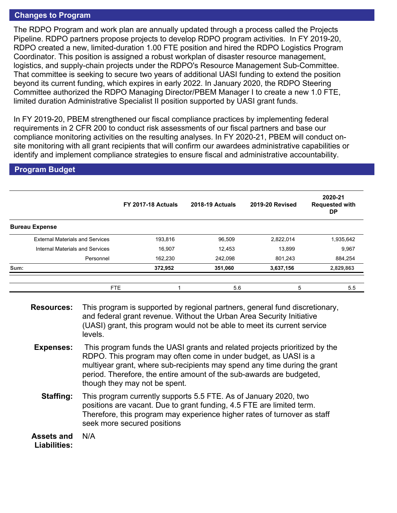#### **Changes to Program**

The RDPO Program and work plan are annually updated through a process called the Projects Pipeline. RDPO partners propose projects to develop RDPO program activities. In FY 2019-20, RDPO created a new, limited-duration 1.00 FTE position and hired the RDPO Logistics Program Coordinator. This position is assigned a robust workplan of disaster resource management, logistics, and supply-chain projects under the RDPO's Resource Management Sub-Committee. That committee is seeking to secure two years of additional UASI funding to extend the position beyond its current funding, which expires in early 2022. In January 2020, the RDPO Steering Committee authorized the RDPO Managing Director/PBEM Manager I to create a new 1.0 FTE, limited duration Administrative Specialist II position supported by UASI grant funds.

In FY 2019-20, PBEM strengthened our fiscal compliance practices by implementing federal requirements in 2 CFR 200 to conduct risk assessments of our fiscal partners and base our compliance monitoring activities on the resulting analyses. In FY 2020-21, PBEM will conduct onsite monitoring with all grant recipients that will confirm our awardees administrative capabilities or identify and implement compliance strategies to ensure fiscal and administrative accountability.

# **Program Budget**

|                                        | <b>FY 2017-18 Actuals</b> | <b>2018-19 Actuals</b> | <b>2019-20 Revised</b> | 2020-21<br><b>Requested with</b><br><b>DP</b> |
|----------------------------------------|---------------------------|------------------------|------------------------|-----------------------------------------------|
| <b>Bureau Expense</b>                  |                           |                        |                        |                                               |
| <b>External Materials and Services</b> | 193,816                   | 96,509                 | 2,822,014              | 1,935,642                                     |
| Internal Materials and Services        | 16,907                    | 12,453                 | 13,899                 | 9,967                                         |
| Personnel                              | 162,230                   | 242,098                | 801,243                | 884,254                                       |
| Sum:                                   | 372,952                   | 351,060                | 3,637,156              | 2,829,863                                     |
|                                        |                           |                        |                        |                                               |
| <b>FTE</b>                             |                           | 5.6                    | 5                      | 5.5                                           |

**Resources:** This program is supported by regional partners, general fund discretionary, and federal grant revenue. Without the Urban Area Security Initiative (UASI) grant, this program would not be able to meet its current service levels.

- **Expenses:** This program funds the UASI grants and related projects prioritized by the RDPO. This program may often come in under budget, as UASI is a multiyear grant, where sub-recipients may spend any time during the grant period. Therefore, the entire amount of the sub-awards are budgeted, though they may not be spent.
- **Staffing:** This program currently supports 5.5 FTE. As of January 2020, two positions are vacant. Due to grant funding, 4.5 FTE are limited term. Therefore, this program may experience higher rates of turnover as staff seek more secured positions

| <b>Assets and</b> | N/A |
|-------------------|-----|
| Liabilities:      |     |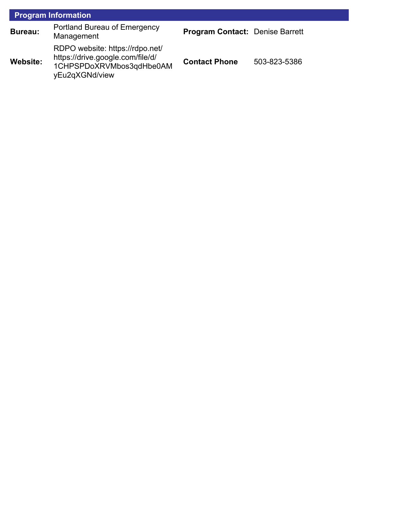|                | <b>Program Information</b>                                                                                        |                                        |              |
|----------------|-------------------------------------------------------------------------------------------------------------------|----------------------------------------|--------------|
| <b>Bureau:</b> | Portland Bureau of Emergency<br>Management                                                                        | <b>Program Contact: Denise Barrett</b> |              |
| Website:       | RDPO website: https://rdpo.net/<br>https://drive.google.com/file/d/<br>1CHPSPDoXRVMbos3qdHbe0AM<br>yEu2qXGNd/view | <b>Contact Phone</b>                   | 503-823-5386 |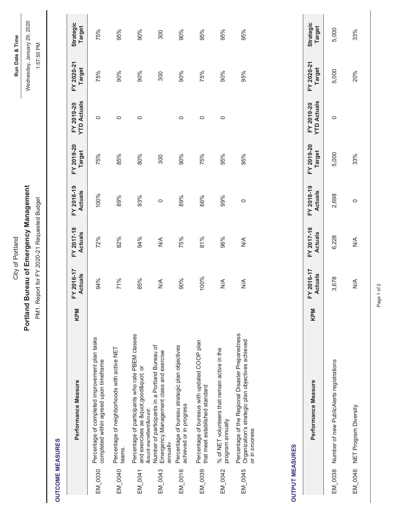|                 | uowoncuci                                               |
|-----------------|---------------------------------------------------------|
| ity of Portland | Emergency M                                             |
|                 | <b>Honee</b><br> <br>อิ<br> <br>⋚<br>$\frac{1}{2}$<br>Ξ |

PM1. Report for FY 2020-21 Requested Budget

Run Date & Time

Wednesday, January 29, 2020

1:57:55 PM

**OUTCOME MEASURES** 

| UI COME MEASURES      |                                                                                                                         |     |                       |                         |                              |                             |                                  |                      |                            |
|-----------------------|-------------------------------------------------------------------------------------------------------------------------|-----|-----------------------|-------------------------|------------------------------|-----------------------------|----------------------------------|----------------------|----------------------------|
|                       | Performance Measure                                                                                                     | KPM | FY 2016-17<br>Actuals | FY 2017-18<br>Actuals   | FY 2018-19<br><b>Actuals</b> | FY 2019-20<br>Target        | <b>YTD Actuals</b><br>FY 2019-20 | FY 2020-21<br>Target | <b>Strategic</b><br>Target |
| EM_0030               | Percentage of completed improvement plan tasks<br>completed within agreed upon timeframe                                |     | 94%                   | 72%                     | 100%                         | 75%                         | $\circ$                          | 75%                  | 75%                        |
| EM_0040               | Percentage of neighborhoods with active NET<br>teams.                                                                   |     | 71%                   | 82%                     | 89%                          | 85%                         | $\circ$                          | 90%                  | 95%                        |
| EM 0041               | Percentage of participants who rate PBEM classes<br>and exercises as "good" or<br>& quot : excellent& quot              |     | 85%                   | 94%                     | 93%                          | 80%                         | $\circ$                          | 90%                  | 90%                        |
| EM_0043               | Number of participants in a Portland Bureau of<br>Emergency Management class and exercise<br>vllenune                   |     | $\frac{4}{2}$         | $\stackrel{\leq}{\geq}$ | $\circ$                      | 300                         |                                  | 300                  | 300                        |
| EM_0016               | Percentage of bureau strategic plan objectives<br>achieved or in progress                                               |     | 90%                   | 75%                     | 89%                          | 90%                         | $\circ$                          | 90%                  | 90%                        |
| EM_0039               | Percentage of bureaus with updated COOP plan<br>that meet established standard                                          |     | 100%                  | 81%                     | 66%                          | 75%                         | $\circ$                          | 75%                  | 95%                        |
| EM_0042               | % of NET volunteers that remain active in the<br>program annually                                                       |     | $\frac{4}{2}$         | 96%                     | 99%                          | 95%                         | $\circ$                          | 90%                  | 95%                        |
| EM_0045               | Percentage of the Regional Disaster Preparedness<br>Organization's strategic plan objectives achieved<br>or in progress |     | $\frac{1}{2}$         | $\frac{1}{2}$           | $\circ$                      | 95%                         |                                  | 95%                  | 95%                        |
| <b>UTPUT MEASURES</b> |                                                                                                                         |     |                       |                         |                              |                             |                                  |                      |                            |
|                       | Performance Measure                                                                                                     | KPM | FY 2016-17<br>Actuals | FY 2017-18<br>Actuals   | FY 2018-19<br>Actuals        | FY 2019-20<br><b>Target</b> | <b>YTD Actuals</b><br>FY 2019-20 | FY 2020-21<br>Target | <b>Strategic</b><br>Target |
| CA ACCO               | <b>D</b> 14.11 A                                                                                                        |     | <b>SAS</b>            | coco                    | o oo                         | C COL                       | ¢                                | r nn                 | C COL                      |

# $\vec{0}$

| Performance Measure                              | KPM | FY 2016-17<br>Actuals | <b>FY 2017-18</b><br>Actuals | FY 2018-19<br>Actuals | FY 2019-20<br>Target | FY 2019-20<br>YTD Actuals | FY 2020-21<br>Target | Strategic<br>Target |
|--------------------------------------------------|-----|-----------------------|------------------------------|-----------------------|----------------------|---------------------------|----------------------|---------------------|
| EM_0038 Number of new PublicAlerts registrations |     | 1,678                 | 6,228                        | 2,698                 | 5,000                |                           | 5,000                | 5,000               |
| EM_0046 NET Program Diversity                    |     | ≶                     | $\stackrel{\triangle}{\geq}$ |                       | 33%                  |                           | 20%                  | 33%                 |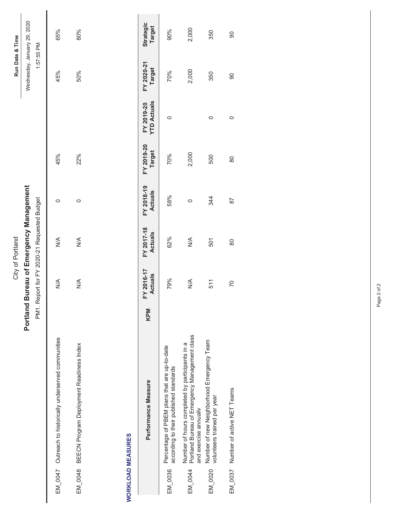|                          |                                                                                                                          |     |                              | City of Portland                                                                       |                              |                             |                                  | Run Date & Time                           |                            |
|--------------------------|--------------------------------------------------------------------------------------------------------------------------|-----|------------------------------|----------------------------------------------------------------------------------------|------------------------------|-----------------------------|----------------------------------|-------------------------------------------|----------------------------|
|                          |                                                                                                                          |     |                              | Portland Bureau of Emergency Management<br>PM1. Report for FY 2020-21 Requested Budget |                              |                             |                                  | Wednesday, January 29, 2020<br>1:57:55 PM |                            |
|                          | EM_0047 Outreach to historically underserved communities                                                                 |     | $\frac{4}{5}$                | $\stackrel{\leq}{\geq}$                                                                | $\circ$                      | 45%                         |                                  | 45%                                       | 65%                        |
| EM 0048                  | BEECN Program Deployment Readiness Index                                                                                 |     | $\frac{1}{2}$                | $\stackrel{\leq}{\geq}$                                                                | $\circ$                      | 22%                         |                                  | 50%                                       | 80%                        |
|                          |                                                                                                                          |     |                              |                                                                                        |                              |                             |                                  |                                           |                            |
| <b>WORKLOAD MEASURES</b> |                                                                                                                          |     |                              |                                                                                        |                              |                             |                                  |                                           |                            |
|                          | Performance Measure                                                                                                      | KPM | FY 2016-17<br><b>Actuals</b> | FY 2017-18<br>Actuals                                                                  | FY 2018-19<br><b>Actuals</b> | FY 2019-20<br><b>Target</b> | <b>YTD Actuals</b><br>FY 2019-20 | FY 2020-21<br>Target                      | <b>Strategic</b><br>Target |
| EM_0036                  | Percentage of PBEM plans that are up-to-date<br>according to their published standards                                   |     | 79%                          | 62%                                                                                    | 58%                          | 70%                         | $\circ$                          | 70%                                       | 90%                        |
| EM_0044                  | Portland Bureau of Emergency Management class<br>Number of hours completed by participants in a<br>and exercise annually |     | $\frac{4}{2}$                | $\stackrel{\leq}{\geq}$                                                                | 0                            | 2,000                       |                                  | 2,000                                     | 2,000                      |
| EM_0020                  | Number of new Neighborhood Emergency Team<br>volunteers trained per year                                                 |     | 511                          | 501                                                                                    | 344                          | 500                         | $\circ$                          | 350                                       | 350                        |
|                          | EM_0037 Number of active NET Teams                                                                                       |     | 20                           | $\infty$                                                                               | 87                           | 80                          | $\circ$                          | 90                                        | $\overline{0}$             |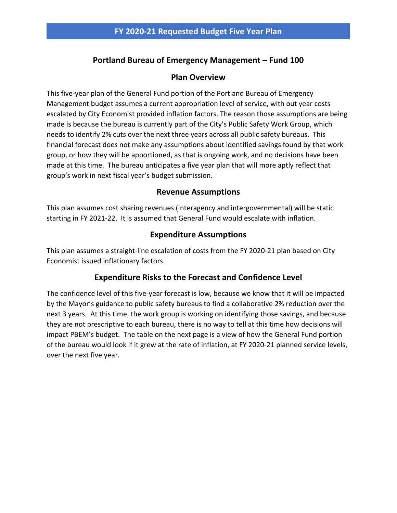#### **Portland Bureau of Emergency Management – Fund 100**

#### **Plan Overview**

This five‐year plan of the General Fund portion of the Portland Bureau of Emergency Management budget assumes a current appropriation level of service, with out year costs escalated by City Economist provided inflation factors. The reason those assumptions are being made is because the bureau is currently part of the City's Public Safety Work Group, which needs to identify 2% cuts over the next three years across all public safety bureaus. This financial forecast does not make any assumptions about identified savings found by that work group, or how they will be apportioned, as that is ongoing work, and no decisions have been made at this time. The bureau anticipates a five year plan that will more aptly reflect that group's work in next fiscal year's budget submission.

#### **Revenue Assumptions**

This plan assumes cost sharing revenues (interagency and intergovernmental) will be static starting in FY 2021‐22. It is assumed that General Fund would escalate with inflation.

#### **Expenditure Assumptions**

This plan assumes a straight‐line escalation of costs from the FY 2020‐21 plan based on City Economist issued inflationary factors.

#### **Expenditure Risks to the Forecast and Confidence Level**

The confidence level of this five‐year forecast is low, because we know that it will be impacted by the Mayor's guidance to public safety bureaus to find a collaborative 2% reduction over the next 3 years. At this time, the work group is working on identifying those savings, and because they are not prescriptive to each bureau, there is no way to tell at this time how decisions will impact PBEM's budget. The table on the next page is a view of how the General Fund portion of the bureau would look if it grew at the rate of inflation, at FY 2020‐21 planned service levels, over the next five year.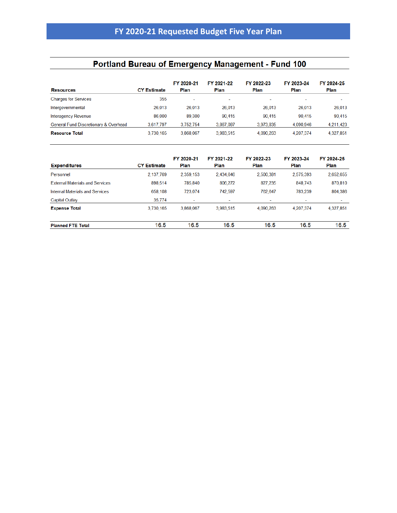# Portland Bureau of Emergency Management - Fund 100

| <b>Resources</b>                      | <b>CY Estimate</b> | FY 2020-21<br>Plan | FY 2021-22<br>Plan | FY 2022-23<br>Plan | FY 2023-24<br><b>Plan</b> | FY 2024-25<br>Plan |
|---------------------------------------|--------------------|--------------------|--------------------|--------------------|---------------------------|--------------------|
| <b>Charges for Services</b>           | 355                | ۰                  | -                  | -                  |                           |                    |
| Intergovernmental                     | 26,013             | 26.013             | 26,013             | 26,013             | 26.013                    | 26,013             |
| Interagency Revenue                   | 86,000             | 89,300             | 90,415             | 90.415             | 90,415                    | 90.415             |
| General Fund Discretionary & Overhead | 3,617,797          | 3.752.754          | 3,867,087          | 3,973,835          | 4,090,946                 | 4,211,423          |
| <b>Resource Total</b>                 | 3,730,165          | 3,868,067          | 3,983,515          | 4.090.263          | 4.207.374                 | 4,327,851          |

| <b>Expenditures</b>                    | <b>CY Estimate</b> | FY 2020-21<br>Plan | FY 2021-22<br>Plan | FY 2022-23<br>Plan | FY 2023-24<br>Plan | FY 2024-25<br><b>Plan</b> |
|----------------------------------------|--------------------|--------------------|--------------------|--------------------|--------------------|---------------------------|
| Personnel                              | 2.137.769          | 2,359,153          | 2.434,646          | 2,500,381          | 2,575,393          | 2,652,655                 |
| <b>External Materials and Services</b> | 898,514            | 785,840            | 806,272            | 827,235            | 848,743            | 870,810                   |
| Internal Materials and Services        | 658,108            | 723,074            | 742,597            | 762,647            | 783,239            | 804,386                   |
| Capital Outlay                         | 35,774             |                    | ۰                  | ٠                  | ۰                  |                           |
| <b>Expense Total</b>                   | 3,730,165          | 3,868,067          | 3,983,515          | 4,090,263          | 4,207,374          | 4,327,851                 |
| <b>Planned FTE Total</b>               | 16.5               | 16.5               | 16.5               | 16.5               | 16.5               | 16.5                      |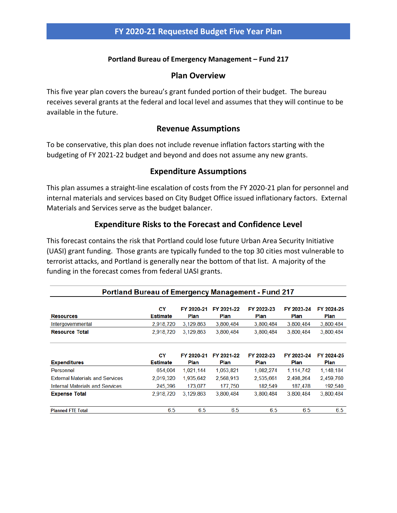#### **Portland Bureau of Emergency Management – Fund 217**

#### **Plan Overview**

This five year plan covers the bureau's grant funded portion of their budget. The bureau receives several grants at the federal and local level and assumes that they will continue to be available in the future.

#### **Revenue Assumptions**

To be conservative, this plan does not include revenue inflation factors starting with the budgeting of FY 2021‐22 budget and beyond and does not assume any new grants.

#### **Expenditure Assumptions**

This plan assumes a straight‐line escalation of costs from the FY 2020‐21 plan for personnel and internal materials and services based on City Budget Office issued inflationary factors. External Materials and Services serve as the budget balancer.

#### **Expenditure Risks to the Forecast and Confidence Level**

This forecast contains the risk that Portland could lose future Urban Area Security Initiative (UASI) grant funding. Those grants are typically funded to the top 30 cities most vulnerable to terrorist attacks, and Portland is generally near the bottom of that list. A majority of the funding in the forecast comes from federal UASI grants.

| Portland Bureau of Emergency Management - Fund 217 |                       |                    |                    |                    |                    |                    |
|----------------------------------------------------|-----------------------|--------------------|--------------------|--------------------|--------------------|--------------------|
| <b>Resources</b>                                   | СY<br><b>Estimate</b> | FY 2020-21<br>Plan | FY 2021-22<br>Plan | FY 2022-23<br>Plan | FY 2023-24<br>Plan | FY 2024-25<br>Plan |
| Intergovernmental                                  | 2,918,720             | 3,129,863          | 3,800,484          | 3,800,484          | 3,800,484          | 3,800,484          |
| <b>Resource Total</b>                              | 2,918,720             | 3,129,863          | 3,800,484          | 3,800,484          | 3,800,484          | 3,800,484          |
| <b>Expenditures</b>                                | CY<br><b>Estimate</b> | FY 2020-21<br>Plan | FY 2021-22<br>Plan | FY 2022-23<br>Plan | FY 2023-24<br>Plan | FY 2024-25<br>Plan |
| Personnel                                          | 654,004               | 1,021,144          | 1,053,821          | 1,082,274          | 1,114,742          | 1,148,184          |
| <b>External Materials and Services</b>             | 2,019,320             | 1,935,642          | 2,568,913          | 2,535,661          | 2,498,264          | 2,459,760          |
| <b>Internal Materials and Services</b>             | 245,396               | 173,077            | 177,750            | 182,549            | 187,478            | 192,540            |
| <b>Expense Total</b>                               | 2.918.720             | 3.129.863          | 3,800,484          | 3,800,484          | 3,800,484          | 3,800,484          |
| <b>Planned FTE Total</b>                           | 6.5                   | 6.5                | 6.5                | 6.5                | 6.5                | 6.5                |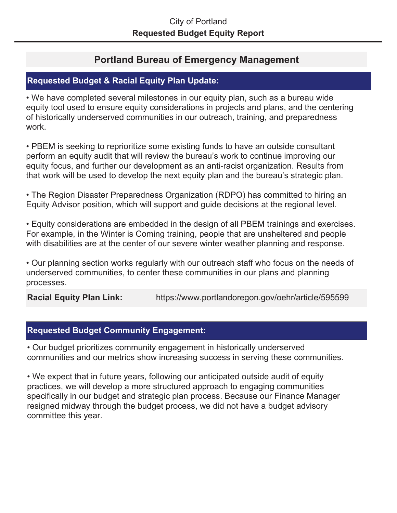# **Portland Bureau of Emergency Management**

# Requested Budget & Racial Equity Plan Update:

• We have completed several milestones in our equity plan, such as a bureau wide equity tool used to ensure equity considerations in projects and plans, and the centering of historically underserved communities in our outreach, training, and preparedness work

• PBEM is seeking to reprioritize some existing funds to have an outside consultant perform an equity audit that will review the bureau's work to continue improving our equity focus, and further our development as an anti-racist organization. Results from that work will be used to develop the next equity plan and the bureau's strategic plan.

• The Region Disaster Preparedness Organization (RDPO) has committed to hiring an Equity Advisor position, which will support and guide decisions at the regional level.

• Equity considerations are embedded in the design of all PBEM trainings and exercises. For example, in the Winter is Coming training, people that are unsheltered and people with disabilities are at the center of our severe winter weather planning and response.

• Our planning section works regularly with our outreach staff who focus on the needs of underserved communities, to center these communities in our plans and planning processes.

**Racial Equity Plan Link:** 

https://www.portlandoregon.gov/oehr/article/595599

# **Requested Budget Community Engagement:**

• Our budget prioritizes community engagement in historically underserved communities and our metrics show increasing success in serving these communities.

• We expect that in future years, following our anticipated outside audit of equity practices, we will develop a more structured approach to engaging communities specifically in our budget and strategic plan process. Because our Finance Manager resigned midway through the budget process, we did not have a budget advisory committee this year.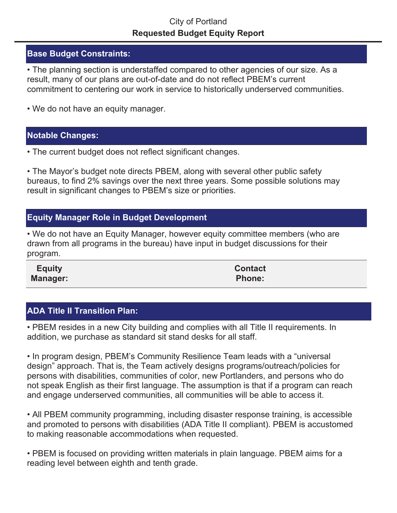#### **Base Budget Constraints:**

• The planning section is understaffed compared to other agencies of our size. As a result, many of our plans are out-of-date and do not reflect PBEM's current commitment to centering our work in service to historically underserved communities.

• We do not have an equity manager.

# **Notable Changes:**

• The current budget does not reflect significant changes.

• The Mayor's budget note directs PBEM, along with several other public safety bureaus, to find 2% savings over the next three years. Some possible solutions may result in significant changes to PBEM's size or priorities.

## **Equity Manager Role in Budget Development**

. We do not have an Equity Manager, however equity committee members (who are drawn from all programs in the bureau) have input in budget discussions for their program.

**Equity Manager:**  Contact Phone:

# **ADA Title II Transition Plan:**

• PBEM resides in a new City building and complies with all Title II requirements. In addition, we purchase as standard sit stand desks for all staff.

• In program design, PBEM's Community Resilience Team leads with a "universal" design" approach. That is, the Team actively designs programs/outreach/policies for persons with disabilities, communities of color, new Portlanders, and persons who do not speak English as their first language. The assumption is that if a program can reach and engage underserved communities, all communities will be able to access it.

• All PBEM community programming, including disaster response training, is accessible and promoted to persons with disabilities (ADA Title II compliant). PBEM is accustomed to making reasonable accommodations when requested.

• PBEM is focused on providing written materials in plain language. PBEM aims for a reading level between eighth and tenth grade.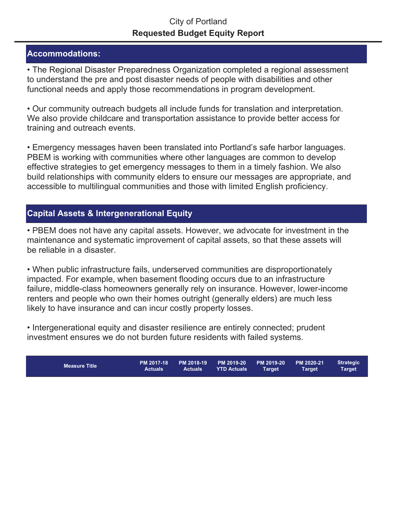#### **Accommodations:**

• The Regional Disaster Preparedness Organization completed a regional assessment to understand the pre and post disaster needs of people with disabilities and other functional needs and apply those recommendations in program development.

. Our community outreach budgets all include funds for translation and interpretation. We also provide childcare and transportation assistance to provide better access for training and outreach events.

• Emergency messages haven been translated into Portland's safe harbor languages. PBEM is working with communities where other languages are common to develop effective strategies to get emergency messages to them in a timely fashion. We also build relationships with community elders to ensure our messages are appropriate, and accessible to multilingual communities and those with limited English proficiency.

# **Capital Assets & Intergenerational Equity**

• PBEM does not have any capital assets. However, we advocate for investment in the maintenance and systematic improvement of capital assets, so that these assets will be reliable in a disaster.

• When public infrastructure fails, underserved communities are disproportionately impacted. For example, when basement flooding occurs due to an infrastructure failure, middle-class homeowners generally rely on insurance. However, lower-income renters and people who own their homes outright (generally elders) are much less likely to have insurance and can incur costly property losses.

• Intergenerational equity and disaster resilience are entirely connected; prudent investment ensures we do not burden future residents with failed systems.

| PM 2019-20<br>PM 2019-20 PM 2020-21<br>PM 2018-19<br><b>PM 2017-18</b><br><b>Measure Title</b><br><b>YTD Actuals</b><br><b>Actuals</b><br><b>Actuals</b><br><b>Target</b><br>Target | <b>Strategic</b><br><b>Target</b> |
|-------------------------------------------------------------------------------------------------------------------------------------------------------------------------------------|-----------------------------------|
|-------------------------------------------------------------------------------------------------------------------------------------------------------------------------------------|-----------------------------------|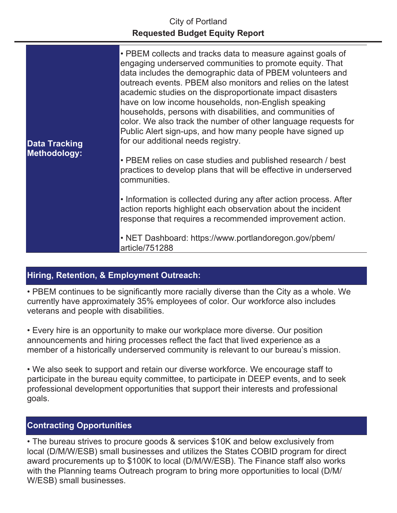| <b>Data Tracking</b><br><b>Methodology:</b> | • PBEM collects and tracks data to measure against goals of<br>engaging underserved communities to promote equity. That<br>data includes the demographic data of PBEM volunteers and<br>outreach events. PBEM also monitors and relies on the latest<br>academic studies on the disproportionate impact disasters<br>have on low income households, non-English speaking<br>households, persons with disabilities, and communities of<br>color. We also track the number of other language requests for<br>Public Alert sign-ups, and how many people have signed up<br>for our additional needs registry.<br>• PBEM relies on case studies and published research / best<br>practices to develop plans that will be effective in underserved<br>communities.<br>• Information is collected during any after action process. After<br>action reports highlight each observation about the incident<br>response that requires a recommended improvement action.<br>. NET Dashboard: https://www.portlandoregon.gov/pbem/ |
|---------------------------------------------|-------------------------------------------------------------------------------------------------------------------------------------------------------------------------------------------------------------------------------------------------------------------------------------------------------------------------------------------------------------------------------------------------------------------------------------------------------------------------------------------------------------------------------------------------------------------------------------------------------------------------------------------------------------------------------------------------------------------------------------------------------------------------------------------------------------------------------------------------------------------------------------------------------------------------------------------------------------------------------------------------------------------------|
|                                             | article/751288                                                                                                                                                                                                                                                                                                                                                                                                                                                                                                                                                                                                                                                                                                                                                                                                                                                                                                                                                                                                          |

# Hiring, Retention, & Employment Outreach:

• PBEM continues to be significantly more racially diverse than the City as a whole. We currently have approximately 35% employees of color. Our workforce also includes veterans and people with disabilities.

• Every hire is an opportunity to make our workplace more diverse. Our position announcements and hiring processes reflect the fact that lived experience as a member of a historically underserved community is relevant to our bureau's mission.

• We also seek to support and retain our diverse workforce. We encourage staff to participate in the bureau equity committee, to participate in DEEP events, and to seek professional development opportunities that support their interests and professional goals.

## **Contracting Opportunities**

• The bureau strives to procure goods & services \$10K and below exclusively from local (D/M/W/ESB) small businesses and utilizes the States COBID program for direct award procurements up to \$100K to local (D/M/W/ESB). The Finance staff also works with the Planning teams Outreach program to bring more opportunities to local (D/M/ W/ESB) small businesses.